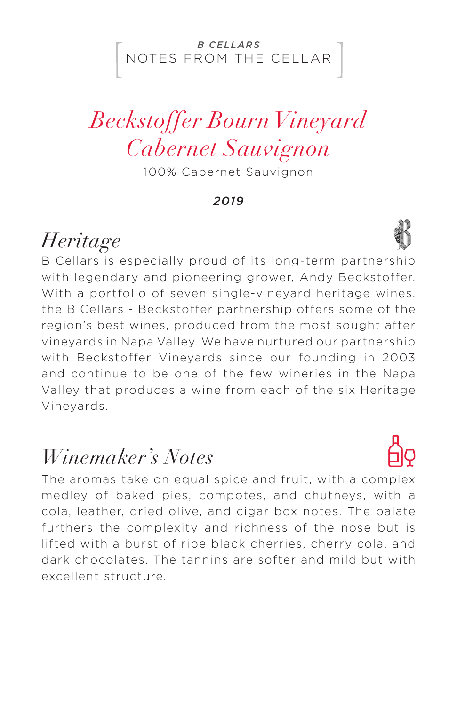#### NOTES FROM THE CELLAR *B CELLARS*

## *Beckstoffer Bourn Vineyard Cabernet Sauvignon*

100% Cabernet Sauvignon

*2019*

### *Heritage*

B Cellars is especially proud of its long-term partnership with legendary and pioneering grower, Andy Beckstoffer. With a portfolio of seven single-vineyard heritage wines, the B Cellars - Beckstoffer partnership offers some of the region's best wines, produced from the most sought after vineyards in Napa Valley. We have nurtured our partnership with Beckstoffer Vineyards since our founding in 2003 and continue to be one of the few wineries in the Napa Valley that produces a wine from each of the six Heritage Vineyards.

### *Winemaker's Notes*

The aromas take on equal spice and fruit, with a complex medley of baked pies, compotes, and chutneys, with a cola, leather, dried olive, and cigar box notes. The palate furthers the complexity and richness of the nose but is lifted with a burst of ripe black cherries, cherry cola, and dark chocolates. The tannins are softer and mild but with excellent structure.